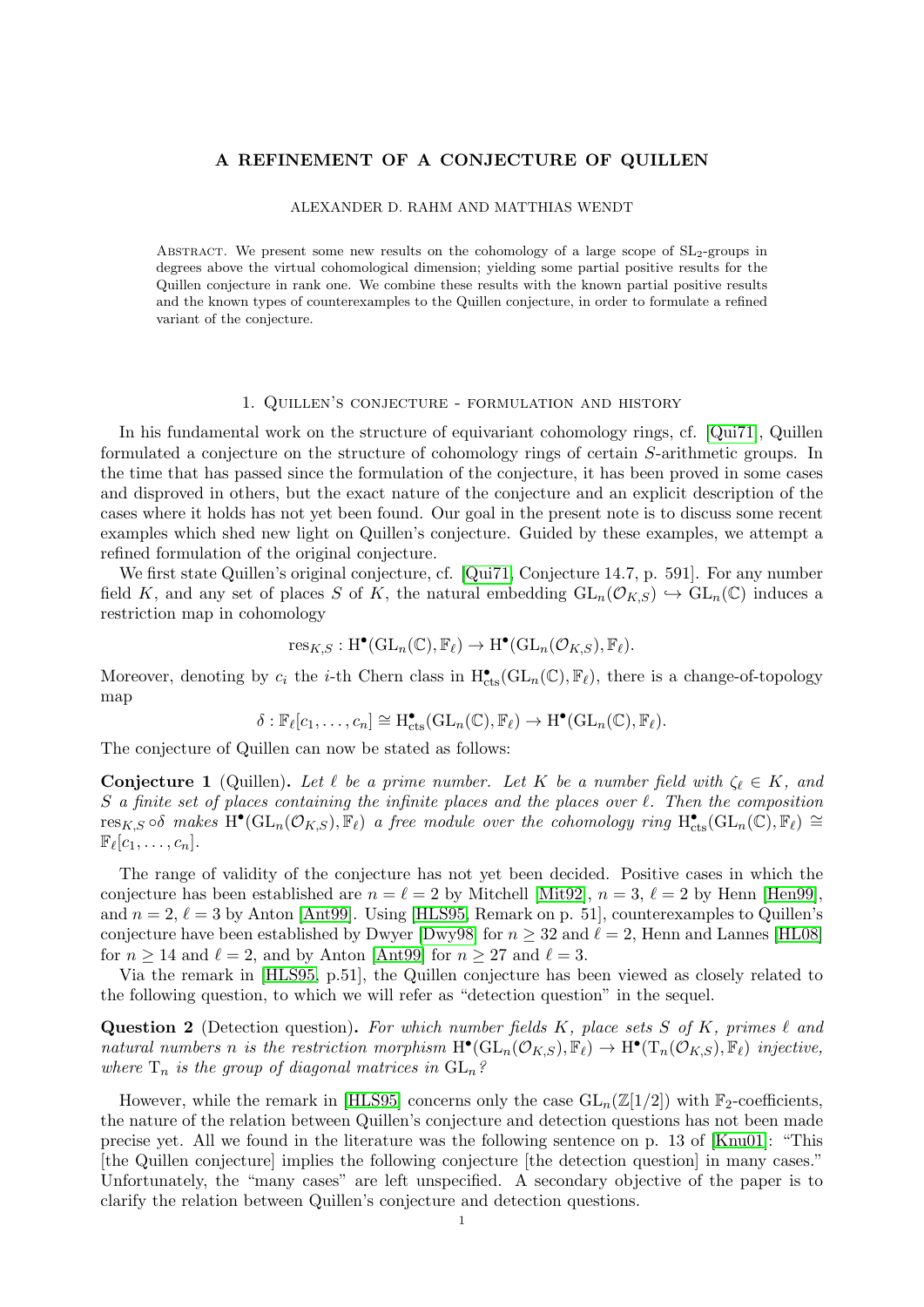## A REFINEMENT OF A CONJECTURE OF QUILLEN

#### ALEXANDER D. RAHM AND MATTHIAS WENDT

ABSTRACT. We present some new results on the cohomology of a large scope of  $SL<sub>2</sub>$ -groups in degrees above the virtual cohomological dimension; yielding some partial positive results for the Quillen conjecture in rank one. We combine these results with the known partial positive results and the known types of counterexamples to the Quillen conjecture, in order to formulate a refined variant of the conjecture.

#### 1. Quillen's conjecture - formulation and history

In his fundamental work on the structure of equivariant cohomology rings, cf. [\[Qui71\]](#page-5-0), Quillen formulated a conjecture on the structure of cohomology rings of certain S-arithmetic groups. In the time that has passed since the formulation of the conjecture, it has been proved in some cases and disproved in others, but the exact nature of the conjecture and an explicit description of the cases where it holds has not yet been found. Our goal in the present note is to discuss some recent examples which shed new light on Quillen's conjecture. Guided by these examples, we attempt a refined formulation of the original conjecture.

We first state Quillen's original conjecture, cf. [\[Qui71,](#page-5-0) Conjecture 14.7, p. 591]. For any number field K, and any set of places S of K, the natural embedding  $GL_n(\mathcal{O}_{K,S}) \hookrightarrow GL_n(\mathbb{C})$  induces a restriction map in cohomology

$$
\text{res}_{K,S}: \text{H}^{\bullet}(\text{GL}_n(\mathbb{C}), \mathbb{F}_{\ell}) \to \text{H}^{\bullet}(\text{GL}_n(\mathcal{O}_{K,S}), \mathbb{F}_{\ell}).
$$

Moreover, denoting by  $c_i$  the *i*-th Chern class in  $H_{cts}^{\bullet}(GL_n(\mathbb{C}), \mathbb{F}_\ell)$ , there is a change-of-topology map

$$
\delta: \mathbb{F}_{\ell}[c_1,\ldots,c_n] \cong H^{\bullet}_{\mathrm{cts}}(\mathrm{GL}_n(\mathbb{C}),\mathbb{F}_{\ell}) \to H^{\bullet}(\mathrm{GL}_n(\mathbb{C}),\mathbb{F}_{\ell}).
$$

The conjecture of Quillen can now be stated as follows:

**Conjecture 1** (Quillen). Let  $\ell$  be a prime number. Let K be a number field with  $\zeta_{\ell} \in K$ , and  $S$  a finite set of places containing the infinite places and the places over  $\ell$ . Then the composition  $\text{res}_{K,S} \circ \delta$  makes  $\text{H}^{\bullet}(\text{GL}_n(\mathcal{O}_{K,S}), \mathbb{F}_\ell)$  a free module over the cohomology ring  $\text{H}^{\bullet}_{\text{cts}}(\text{GL}_n(\mathbb{C}), \mathbb{F}_\ell) \cong$  $\mathbb{F}_{\ell}[c_1,\ldots,c_n].$ 

The range of validity of the conjecture has not yet been decided. Positive cases in which the conjecture has been established are  $n = \ell = 2$  by Mitchell [\[Mit92\]](#page-5-1),  $n = 3$ ,  $\ell = 2$  by Henn [\[Hen99\]](#page-5-2), and  $n = 2$ ,  $\ell = 3$  by Anton [\[Ant99\]](#page-5-3). Using [\[HLS95,](#page-5-4) Remark on p. 51], counterexamples to Quillen's conjecture have been established by Dwyer [\[Dwy98\]](#page-5-5) for  $n \geq 32$  and  $\ell = 2$ , Henn and Lannes [\[HL08\]](#page-5-6) for  $n \geq 14$  and  $\ell = 2$ , and by Anton [\[Ant99\]](#page-5-3) for  $n \geq 27$  and  $\ell = 3$ .

Via the remark in [\[HLS95,](#page-5-4) p.51], the Quillen conjecture has been viewed as closely related to the following question, to which we will refer as "detection question" in the sequel.

**Question 2** (Detection question). For which number fields K, place sets S of K, primes  $\ell$  and natural numbers n is the restriction morphism  $H^{\bullet}(GL_n(\mathcal{O}_{K,S}), \mathbb{F}_\ell) \to H^{\bullet}(T_n(\mathcal{O}_{K,S}), \mathbb{F}_\ell)$  injective, where  $T_n$  is the group of diagonal matrices in  $GL_n$ ?

However, while the remark in [\[HLS95\]](#page-5-4) concerns only the case  $GL_n(\mathbb{Z}[1/2])$  with  $\mathbb{F}_2$ -coefficients, the nature of the relation between Quillen's conjecture and detection questions has not been made precise yet. All we found in the literature was the following sentence on p. 13 of [\[Knu01\]](#page-5-7): "This [the Quillen conjecture] implies the following conjecture [the detection question] in many cases." Unfortunately, the "many cases" are left unspecified. A secondary objective of the paper is to clarify the relation between Quillen's conjecture and detection questions.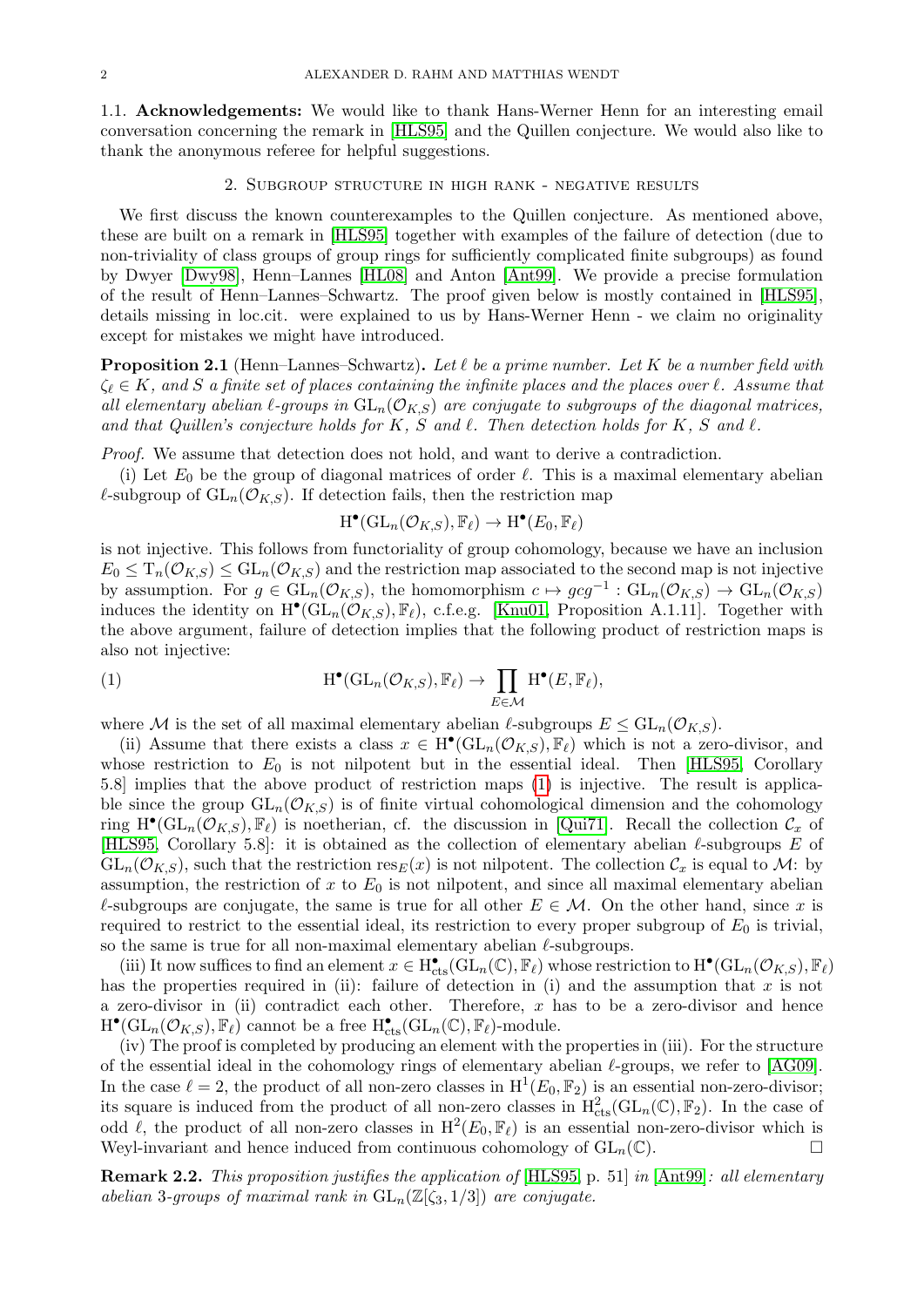1.1. Acknowledgements: We would like to thank Hans-Werner Henn for an interesting email conversation concerning the remark in [\[HLS95\]](#page-5-4) and the Quillen conjecture. We would also like to thank the anonymous referee for helpful suggestions.

#### 2. Subgroup structure in high rank - negative results

<span id="page-1-2"></span>We first discuss the known counterexamples to the Quillen conjecture. As mentioned above, these are built on a remark in [\[HLS95\]](#page-5-4) together with examples of the failure of detection (due to non-triviality of class groups of group rings for sufficiently complicated finite subgroups) as found by Dwyer [\[Dwy98\]](#page-5-5), Henn–Lannes [\[HL08\]](#page-5-6) and Anton [\[Ant99\]](#page-5-3). We provide a precise formulation of the result of Henn–Lannes–Schwartz. The proof given below is mostly contained in [\[HLS95\]](#page-5-4), details missing in loc.cit. were explained to us by Hans-Werner Henn - we claim no originality except for mistakes we might have introduced.

<span id="page-1-1"></span>**Proposition 2.1** (Henn–Lannes–Schwartz). Let  $\ell$  be a prime number. Let K be a number field with  $\zeta_\ell \in K$ , and S a finite set of places containing the infinite places and the places over  $\ell$ . Assume that all elementary abelian  $\ell$ -groups in  $GL_n(\mathcal{O}_{K,S})$  are conjugate to subgroups of the diagonal matrices, and that Quillen's conjecture holds for K, S and  $\ell$ . Then detection holds for K, S and  $\ell$ .

Proof. We assume that detection does not hold, and want to derive a contradiction.

(i) Let  $E_0$  be the group of diagonal matrices of order  $\ell$ . This is a maximal elementary abelian  $\ell$ -subgroup of  $GL_n(\mathcal{O}_{K,S})$ . If detection fails, then the restriction map

<span id="page-1-0"></span>
$$
\mathrm{H}^\bullet(\mathrm{GL}_n(\mathcal{O}_{K,S}),\mathbb{F}_\ell)\to \mathrm{H}^\bullet(E_0,\mathbb{F}_\ell)
$$

is not injective. This follows from functoriality of group cohomology, because we have an inclusion  $E_0 \n\t\leq T_n(\mathcal{O}_{K,S}) \leq \mathrm{GL}_n(\mathcal{O}_{K,S})$  and the restriction map associated to the second map is not injective by assumption. For  $g \in GL_n(\mathcal{O}_{K,S})$ , the homomorphism  $c \mapsto gcg^{-1}: GL_n(\mathcal{O}_{K,S}) \to GL_n(\mathcal{O}_{K,S})$ induces the identity on  $H^{\bullet}(\overline{GL}_n(\mathcal{O}_{K,S}), \mathbb{F}_{\ell}),$  c.f.e.g. [\[Knu01,](#page-5-7) Proposition A.1.11]. Together with the above argument, failure of detection implies that the following product of restriction maps is also not injective:

(1) 
$$
H^{\bullet}(GL_n(\mathcal{O}_{K,S}), \mathbb{F}_{\ell}) \to \prod_{E \in \mathcal{M}} H^{\bullet}(E, \mathbb{F}_{\ell}),
$$

where M is the set of all maximal elementary abelian  $\ell$ -subgroups  $E \leq GL_n(\mathcal{O}_{K,S})$ .

(ii) Assume that there exists a class  $x \in H^{\bullet}(GL_n(\mathcal{O}_{K,S}), \mathbb{F}_{\ell})$  which is not a zero-divisor, and whose restriction to  $E_0$  is not nilpotent but in the essential ideal. Then [\[HLS95,](#page-5-4) Corollary 5.8] implies that the above product of restriction maps [\(1\)](#page-1-0) is injective. The result is applicable since the group  $GL_n(\mathcal{O}_{K,S})$  is of finite virtual cohomological dimension and the cohomology ring  $H^{\bullet}(GL_n(\mathcal{O}_{K,S}), \mathbb{F}_{\ell})$  is noetherian, cf. the discussion in [\[Qui71\]](#page-5-0). Recall the collection  $\mathcal{C}_x$  of [\[HLS95,](#page-5-4) Corollary 5.8]: it is obtained as the collection of elementary abelian  $\ell$ -subgroups E of  $GL_n(\mathcal{O}_{K,S})$ , such that the restriction  $res_E(x)$  is not nilpotent. The collection  $\mathcal{C}_x$  is equal to  $\mathcal{M}$ : by assumption, the restriction of x to  $E_0$  is not nilpotent, and since all maximal elementary abelian  $\ell$ -subgroups are conjugate, the same is true for all other  $E \in \mathcal{M}$ . On the other hand, since x is required to restrict to the essential ideal, its restriction to every proper subgroup of  $E_0$  is trivial, so the same is true for all non-maximal elementary abelian  $\ell$ -subgroups.

(iii) It now suffices to find an element  $x \in H_{\text{cts}}^{\bullet}(\text{GL}_n(\mathbb{C}), \mathbb{F}_\ell)$  whose restriction to  $H^{\bullet}(\text{GL}_n(\mathcal{O}_{K,S}), \mathbb{F}_\ell)$ has the properties required in (ii): failure of detection in (i) and the assumption that  $x$  is not a zero-divisor in (ii) contradict each other. Therefore,  $x$  has to be a zero-divisor and hence  $\mathrm{H}^\bullet(\mathrm{GL}_n(\mathcal{O}_{K,S}), \mathbb{F}_\ell)$  cannot be a free  $\mathrm{H}^\bullet_{\mathrm{cts}}(\mathrm{GL}_n(\mathbb{C}), \mathbb{F}_\ell)$ -module.

(iv) The proof is completed by producing an element with the properties in (iii). For the structure of the essential ideal in the cohomology rings of elementary abelian  $\ell$ -groups, we refer to [\[AG09\]](#page-5-8). In the case  $\ell = 2$ , the product of all non-zero classes in  $H^1(E_0, \mathbb{F}_2)$  is an essential non-zero-divisor; its square is induced from the product of all non-zero classes in  $H_{\text{cts}}^2(\text{GL}_n(\mathbb{C}), \mathbb{F}_2)$ . In the case of odd  $\ell$ , the product of all non-zero classes in  $H^2(E_0, \mathbb{F}_\ell)$  is an essential non-zero-divisor which is Weyl-invariant and hence induced from continuous cohomology of  $GL_n(\mathbb{C})$ .

Remark 2.2. This proposition justifies the application of [\[HLS95,](#page-5-4) p. 51] in [\[Ant99\]](#page-5-3): all elementary abelian 3-groups of maximal rank in  $GL_n(\mathbb{Z}[\zeta_3,1/3])$  are conjugate.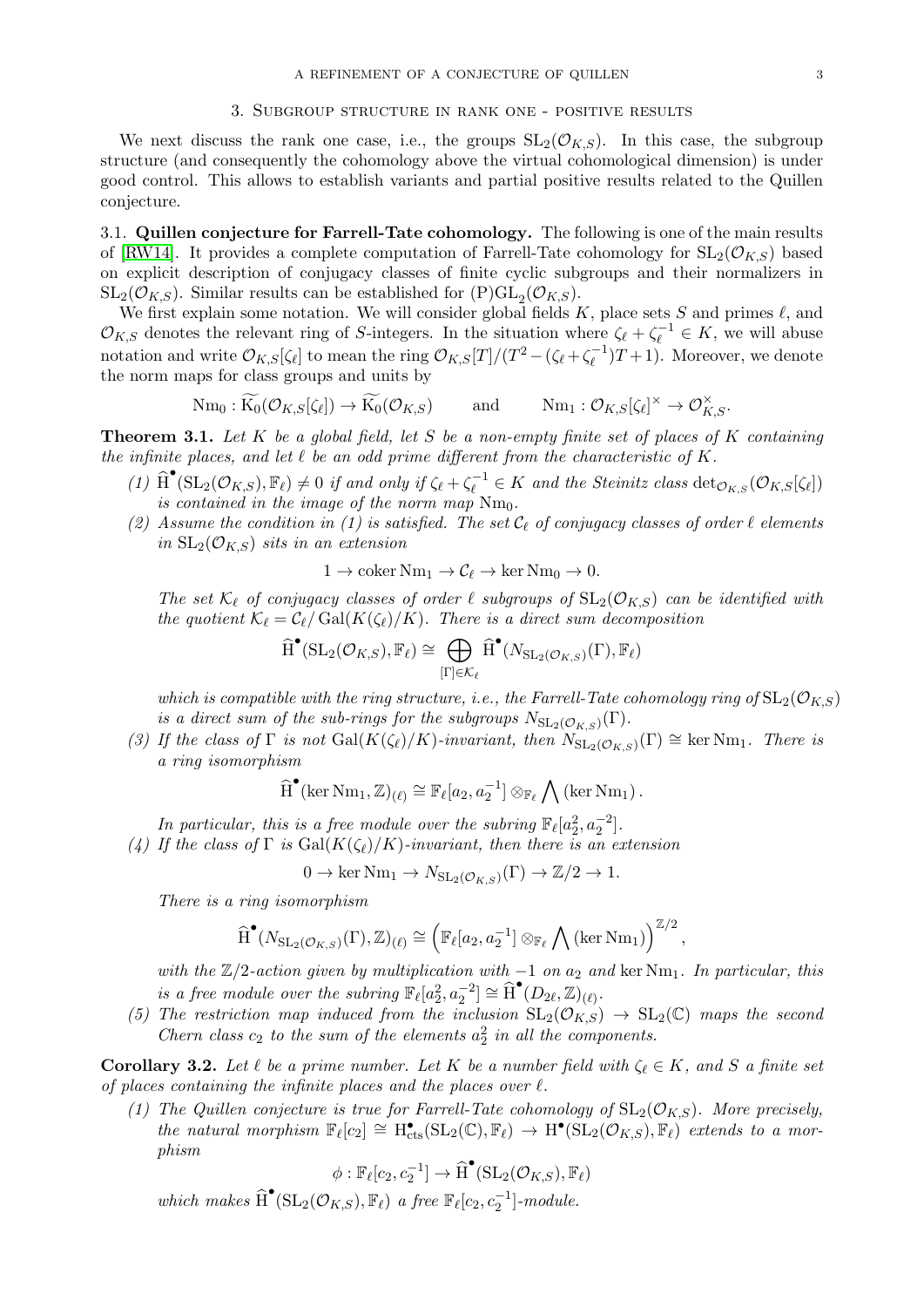#### 3. Subgroup structure in rank one - positive results

<span id="page-2-1"></span>We next discuss the rank one case, i.e., the groups  $SL_2(\mathcal{O}_{K,S})$ . In this case, the subgroup structure (and consequently the cohomology above the virtual cohomological dimension) is under good control. This allows to establish variants and partial positive results related to the Quillen conjecture.

3.1. Quillen conjecture for Farrell-Tate cohomology. The following is one of the main results of [\[RW14\]](#page-5-9). It provides a complete computation of Farrell-Tate cohomology for  $SL_2(\mathcal{O}_{K,S})$  based on explicit description of conjugacy classes of finite cyclic subgroups and their normalizers in  $\mathrm{SL}_2(\mathcal{O}_{K,S})$ . Similar results can be established for  $(P)GL_2(\mathcal{O}_{K,S})$ .

We first explain some notation. We will consider global fields  $K$ , place sets  $S$  and primes  $\ell$ , and  $\mathcal{O}_{K,S}$  denotes the relevant ring of S-integers. In the situation where  $\zeta_{\ell} + \zeta_{\ell}^{-1} \in K$ , we will abuse notation and write  $\mathcal{O}_{K,S}[\zeta_\ell]$  to mean the ring  $\mathcal{O}_{K,S}[T]/(T^2 - (\zeta_\ell + \zeta_\ell^{-1}))$  $\binom{-1}{\ell}T + 1$ . Moreover, we denote the norm maps for class groups and units by

> $Nm_0: K_0(\mathcal{O}_{K,S}[\zeta_\ell]) \to K_0(\mathcal{O}_{K,S})$  and  $Nm_1: \mathcal{O}_{K,S}[\zeta_\ell]$  $]^\times \rightarrow \mathcal{O}_{K,S}^\times.$

<span id="page-2-0"></span>**Theorem 3.1.** Let  $K$  be a global field, let  $S$  be a non-empty finite set of places of  $K$  containing the infinite places, and let  $\ell$  be an odd prime different from the characteristic of K.

- (1)  $\widehat{H}^{\bullet}(\mathrm{SL}_2(\mathcal{O}_{K,S}), \mathbb{F}_{\ell}) \neq 0$  if and only if  $\zeta_{\ell} + \zeta_{\ell}^{-1} \in K$  and the Steinitz class  $\det_{\mathcal{O}_{K,S}}(\mathcal{O}_{K,S}[\zeta_{\ell}])$ is contained in the image of the norm map  $Nm_0$ .
- (2) Assume the condition in (1) is satisfied. The set  $C_{\ell}$  of conjugacy classes of order  $\ell$  elements in  $SL_2(\mathcal{O}_{KS})$  sits in an extension

$$
1 \to \operatorname{coker} \operatorname{Nm}_1 \to \mathcal{C}_{\ell} \to \ker \operatorname{Nm}_0 \to 0.
$$

The set  $\mathcal{K}_\ell$  of conjugacy classes of order  $\ell$  subgroups of  $SL_2(\mathcal{O}_{K,S})$  can be identified with the quotient  $\mathcal{K}_{\ell} = \mathcal{C}_{\ell}/\mathrm{Gal}(K(\zeta_{\ell})/K)$ . There is a direct sum decomposition

$$
\widehat{H}^{\bullet}(\mathrm{SL}_2(\mathcal{O}_{K,S}), \mathbb{F}_{\ell}) \cong \bigoplus_{[\Gamma] \in \mathcal{K}_{\ell}} \widehat{H}^{\bullet}(N_{\mathrm{SL}_2(\mathcal{O}_{K,S})}(\Gamma), \mathbb{F}_{\ell})
$$

which is compatible with the ring structure, i.e., the Farrell-Tate cohomology ring of  $SL_2(\mathcal{O}_{K,S})$ is a direct sum of the sub-rings for the subgroups  $N_{\mathrm{SL}_2(\mathcal{O}_{K,S})}(\Gamma)$ .

(3) If the class of  $\Gamma$  is not  $Gal(K(\zeta_{\ell})/K)$ -invariant, then  $N_{SL_2(\mathcal{O}_{K,S})}(\Gamma) \cong \text{ker Nm}_1$ . There is a ring isomorphism

$$
\widehat{H}^{\bullet}(\ker \mathrm{Nm}_1,\mathbb{Z})_{(\ell)} \cong \mathbb{F}_{\ell}[a_2,a_2^{-1}] \otimes_{\mathbb{F}_{\ell}} \bigwedge (\ker \mathrm{Nm}_1)\,.
$$

In particular, this is a free module over the subring  $\mathbb{F}_{\ell}[a_2^2, a_2^{-2}]$ .

(4) If the class of  $\Gamma$  is  $Gal(K(\zeta_{\ell})/K)$ -invariant, then there is an extension

$$
0 \to \ker \mathrm{Nm}_1 \to N_{\mathrm{SL}_2(\mathcal{O}_{K,S})}(\Gamma) \to \mathbb{Z}/2 \to 1.
$$

There is a ring isomorphism

$$
\widehat{H}^{\bullet}(N_{\mathrm{SL}_2(\mathcal{O}_{K,S})}(\Gamma),\mathbb{Z})_{(\ell)} \cong \left(\mathbb{F}_{\ell}[a_2,a_2^{-1}] \otimes_{\mathbb{F}_{\ell}} \bigwedge (\ker Nm_1)\right)^{\mathbb{Z}/2},
$$

with the  $\mathbb{Z}/2$ -action given by multiplication with  $-1$  on  $a_2$  and ker Nm<sub>1</sub>. In particular, this is a free module over the subring  $\mathbb{F}_{\ell}[a_2^2, a_2^{-2}] \cong \widehat{H}^{\bullet}(D_{2\ell}, \mathbb{Z})_{(\ell)}.$ 

(5) The restriction map induced from the inclusion  $SL_2(\mathcal{O}_{K,S}) \to SL_2(\mathbb{C})$  maps the second Chern class  $c_2$  to the sum of the elements  $a_2^2$  in all the components.

**Corollary 3.2.** Let  $\ell$  be a prime number. Let K be a number field with  $\zeta_{\ell} \in K$ , and S a finite set of places containing the infinite places and the places over  $\ell$ .

(1) The Quillen conjecture is true for Farrell-Tate cohomology of  $SL_2(\mathcal{O}_{K,S})$ . More precisely, the natural morphism  $\mathbb{F}_{\ell}[c_2] \cong H_{\text{cts}}^{\bullet}(\text{SL}_2(\mathbb{C}), \mathbb{F}_{\ell}) \to H^{\bullet}(\text{SL}_2(\mathcal{O}_{K,S}), \mathbb{F}_{\ell})$  extends to a morphism

$$
\phi: \mathbb{F}_{\ell}[c_2, c_2^{-1}] \to \widehat{\operatorname{H}}^{\bullet}(\operatorname{SL}_2(\mathcal{O}_{K,S}), \mathbb{F}_{\ell})
$$

which makes  $\widehat{H}^{\bullet}(\mathrm{SL}_2(\mathcal{O}_{K,S}), \mathbb{F}_\ell)$  a free  $\mathbb{F}_\ell[c_2, c_2^{-1}]$ -module.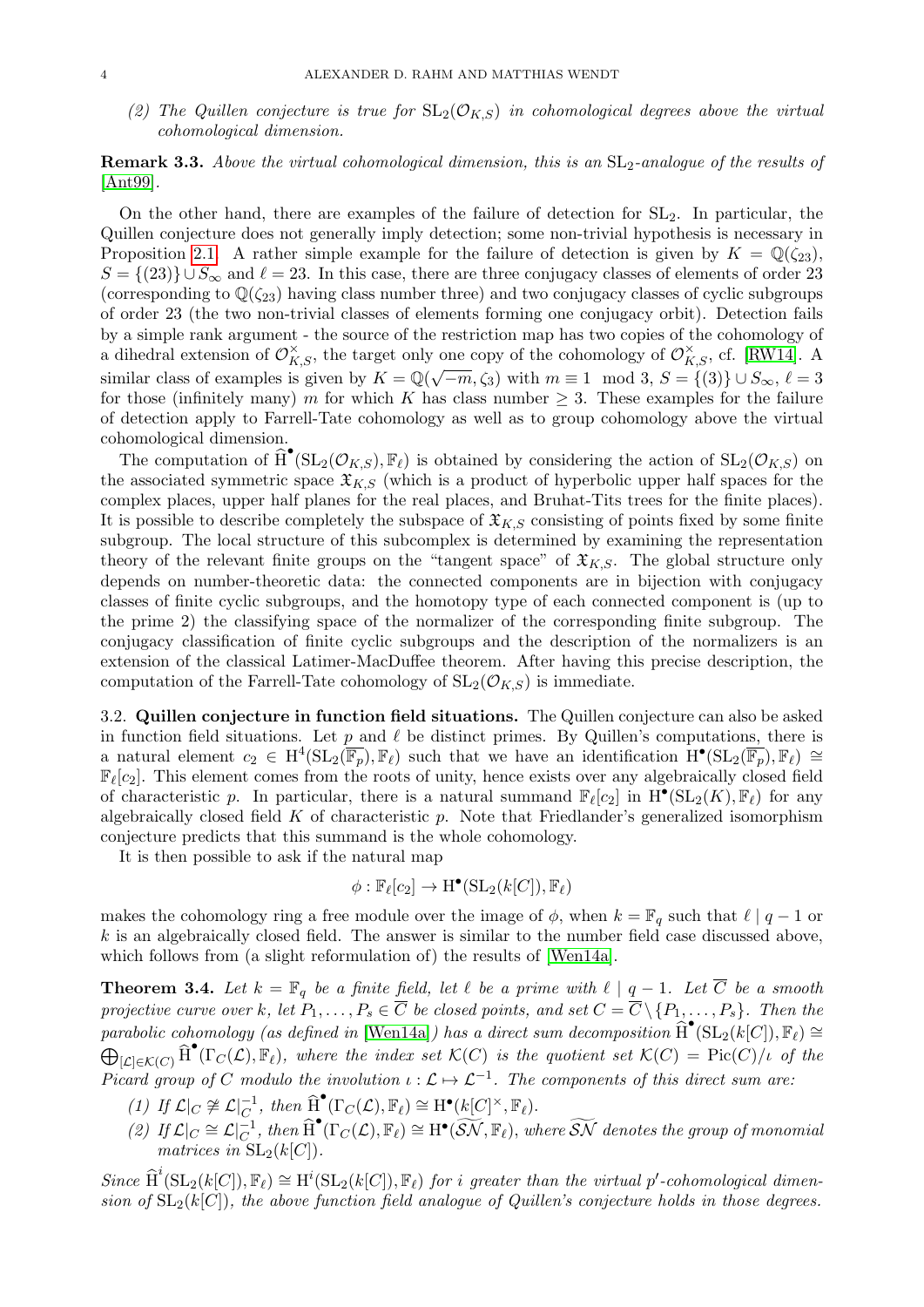(2) The Quillen conjecture is true for  $SL_2(\mathcal{O}_{K,S})$  in cohomological degrees above the virtual cohomological dimension.

# **Remark 3.3.** Above the virtual cohomological dimension, this is an  $SL_2$ -analogue of the results of [\[Ant99\]](#page-5-3).

On the other hand, there are examples of the failure of detection for SL2. In particular, the Quillen conjecture does not generally imply detection; some non-trivial hypothesis is necessary in Proposition [2.1.](#page-1-1) A rather simple example for the failure of detection is given by  $K = \mathbb{Q}(\zeta_{23})$ ,  $S = \{(23)\}\cup S_{\infty}$  and  $\ell = 23$ . In this case, there are three conjugacy classes of elements of order 23 (corresponding to  $\mathbb{Q}(\zeta_{23})$  having class number three) and two conjugacy classes of cyclic subgroups of order 23 (the two non-trivial classes of elements forming one conjugacy orbit). Detection fails by a simple rank argument - the source of the restriction map has two copies of the cohomology of a dihedral extension of  $\mathcal{O}_{K,S}^{\times}$ , the target only one copy of the cohomology of  $\mathcal{O}_{K,S}^{\times}$ , cf. [\[RW14\]](#page-5-9). A similar class of examples is given by  $K = \mathbb{Q}(\sqrt{-m}, \zeta_3)$  with  $m \equiv 1 \mod 3$ ,  $S = \{ (3) \} \cup S_{\infty}, \ell = 3$ for those (infinitely many) m for which K has class number  $\geq$  3. These examples for the failure of detection apply to Farrell-Tate cohomology as well as to group cohomology above the virtual cohomological dimension.

The computation of  $\widehat{H}^{\bullet}(\mathrm{SL}_2(\mathcal{O}_{K,S}), \mathbb{F}_\ell)$  is obtained by considering the action of  $\mathrm{SL}_2(\mathcal{O}_{K,S})$  on the associated symmetric space  $\mathfrak{X}_{K,S}$  (which is a product of hyperbolic upper half spaces for the complex places, upper half planes for the real places, and Bruhat-Tits trees for the finite places). It is possible to describe completely the subspace of  $\mathfrak{X}_{K,S}$  consisting of points fixed by some finite subgroup. The local structure of this subcomplex is determined by examining the representation theory of the relevant finite groups on the "tangent space" of  $\mathfrak{X}_{K,S}$ . The global structure only depends on number-theoretic data: the connected components are in bijection with conjugacy classes of finite cyclic subgroups, and the homotopy type of each connected component is (up to the prime 2) the classifying space of the normalizer of the corresponding finite subgroup. The conjugacy classification of finite cyclic subgroups and the description of the normalizers is an extension of the classical Latimer-MacDuffee theorem. After having this precise description, the computation of the Farrell-Tate cohomology of  $SL_2(\mathcal{O}_{K,S})$  is immediate.

3.2. Quillen conjecture in function field situations. The Quillen conjecture can also be asked in function field situations. Let  $p$  and  $\ell$  be distinct primes. By Quillen's computations, there is a natural element  $c_2 \in H^4(\mathrm{SL}_2(\overline{\mathbb{F}_p}), \mathbb{F}_\ell)$  such that we have an identification  $\mathbf{H}^{\bullet}(\mathrm{SL}_2(\overline{\mathbb{F}_p}), \mathbb{F}_\ell) \cong$  $\mathbb{F}_{\ell}[c_2]$ . This element comes from the roots of unity, hence exists over any algebraically closed field of characteristic p. In particular, there is a natural summand  $\mathbb{F}_{\ell}[c_2]$  in  $\mathcal{H}^{\bullet}(\mathrm{SL}_2(K), \mathbb{F}_{\ell})$  for any algebraically closed field  $K$  of characteristic  $p$ . Note that Friedlander's generalized isomorphism conjecture predicts that this summand is the whole cohomology.

It is then possible to ask if the natural map

$$
\phi: \mathbb{F}_{\ell}[c_2] \to \mathrm{H}^\bullet(\mathrm{SL}_2(k[C]), \mathbb{F}_{\ell})
$$

makes the cohomology ring a free module over the image of  $\phi$ , when  $k = \mathbb{F}_q$  such that  $\ell \mid q - 1$  or  $k$  is an algebraically closed field. The answer is similar to the number field case discussed above, which follows from (a slight reformulation of) the results of [\[Wen14a\]](#page-5-10).

<span id="page-3-0"></span>**Theorem 3.4.** Let  $k = \mathbb{F}_q$  be a finite field, let  $\ell$  be a prime with  $\ell \mid q - 1$ . Let  $\overline{C}$  be a smooth projective curve over k, let  $P_1, \ldots, P_s \in \overline{C}$  be closed points, and set  $C = \overline{C} \setminus \{P_1, \ldots, P_s\}$ . Then the parabolic cohomology (as defined in [\[Wen14a\]](#page-5-10)) has a direct sum decomposition  $\widehat{H}^{\bullet}(\mathrm{SL}_2(k[C]), \mathbb{F}_\ell) \cong$  $\bigoplus_{[\mathcal{L}]\in\mathcal{K}(C)}\widehat{H}^{\bullet}(\Gamma_{C}(\mathcal{L}),\mathbb{F}_{\ell}),$  where the index set  $\mathcal{K}(C)$  is the quotient set  $\mathcal{K}(C) = \text{Pic}(C)/\iota$  of the Picard group of C modulo the involution  $\iota : \mathcal{L} \mapsto \mathcal{L}^{-1}$ . The components of this direct sum are.

- (1) If  $\mathcal{L}|_C \not\cong \mathcal{L}|_{C}^{-1}$ , then  $\widehat{H}^{\bullet}(\Gamma_C(\mathcal{L}), \mathbb{F}_\ell) \cong H^{\bullet}(k[C]^{\times}, \mathbb{F}_\ell)$ .
- (2) If  $\mathcal{L}|_C \cong \mathcal{L}|_C^{-1}$ , then  $\widehat{H}^{\bullet}(\Gamma_C(\mathcal{L}), \mathbb{F}_\ell) \cong H^{\bullet}(\widetilde{SN}, \mathbb{F}_\ell)$ , where  $\widetilde{SN}$  denotes the group of monomial matrices in  $SL_2(k[C])$ .

Since  $\widehat{H}^i(\mathrm{SL}_2(k[C]), \mathbb{F}_\ell) \cong H^i(\mathrm{SL}_2(k[C]), \mathbb{F}_\ell)$  for i greater than the virtual p'-cohomological dimension of  $SL_2(k[C])$ , the above function field analogue of Quillen's conjecture holds in those degrees.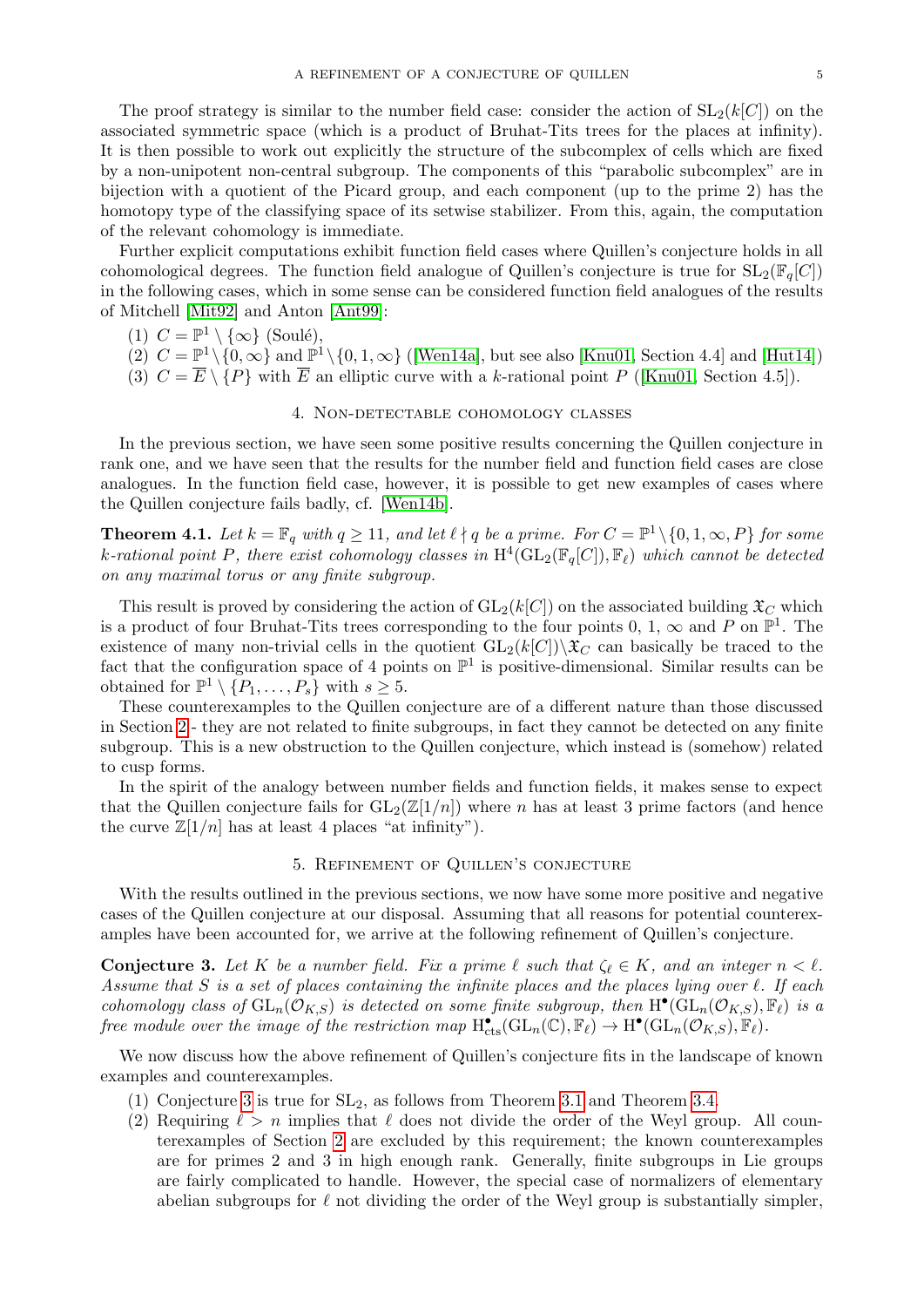The proof strategy is similar to the number field case: consider the action of  $SL_2(k[C])$  on the associated symmetric space (which is a product of Bruhat-Tits trees for the places at infinity). It is then possible to work out explicitly the structure of the subcomplex of cells which are fixed by a non-unipotent non-central subgroup. The components of this "parabolic subcomplex" are in bijection with a quotient of the Picard group, and each component (up to the prime 2) has the homotopy type of the classifying space of its setwise stabilizer. From this, again, the computation of the relevant cohomology is immediate.

Further explicit computations exhibit function field cases where Quillen's conjecture holds in all cohomological degrees. The function field analogue of Quillen's conjecture is true for  $SL_2(\mathbb{F}_q[C])$ in the following cases, which in some sense can be considered function field analogues of the results of Mitchell [\[Mit92\]](#page-5-1) and Anton [\[Ant99\]](#page-5-3):

- (1)  $C = \mathbb{P}^1 \setminus \{ \infty \}$  (Soulé),
- (2)  $C = \mathbb{P}^1 \setminus \{0, \infty\}$  and  $\mathbb{P}^1 \setminus \{0, 1, \infty\}$  ([\[Wen14a\]](#page-5-10), but see also [\[Knu01,](#page-5-7) Section 4.4] and [\[Hut14\]](#page-5-11))
- (3)  $C = \overline{E} \setminus \{P\}$  with  $\overline{E}$  an elliptic curve with a k-rational point P ([\[Knu01,](#page-5-7) Section 4.5]).

## 4. Non-detectable cohomology classes

<span id="page-4-1"></span>In the previous section, we have seen some positive results concerning the Quillen conjecture in rank one, and we have seen that the results for the number field and function field cases are close analogues. In the function field case, however, it is possible to get new examples of cases where the Quillen conjecture fails badly, cf. [\[Wen14b\]](#page-5-12).

**Theorem 4.1.** Let  $k = \mathbb{F}_q$  with  $q \ge 11$ , and let  $\ell \nmid q$  be a prime. For  $C = \mathbb{P}^1 \setminus \{0, 1, \infty, P\}$  for some k-rational point P, there exist cohomology classes in  $\mathrm{H}^4(\mathrm{GL}_2(\mathbb{F}_q[C]), \mathbb{F}_\ell)$  which cannot be detected on any maximal torus or any finite subgroup.

This result is proved by considering the action of  $GL_2(k[C])$  on the associated building  $\mathfrak{X}_C$  which is a product of four Bruhat-Tits trees corresponding to the four points 0, 1,  $\infty$  and P on  $\mathbb{P}^1$ . The existence of many non-trivial cells in the quotient  $GL_2(k[C])\backslash \mathfrak{X}_C$  can basically be traced to the fact that the configuration space of 4 points on  $\mathbb{P}^1$  is positive-dimensional. Similar results can be obtained for  $\mathbb{P}^1 \setminus {\overline{P_1}, \ldots, P_s}$  with  $s \geq 5$ .

These counterexamples to the Quillen conjecture are of a different nature than those discussed in Section [2](#page-1-2) - they are not related to finite subgroups, in fact they cannot be detected on any finite subgroup. This is a new obstruction to the Quillen conjecture, which instead is (somehow) related to cusp forms.

In the spirit of the analogy between number fields and function fields, it makes sense to expect that the Quillen conjecture fails for  $GL_2(\mathbb{Z}[1/n])$  where n has at least 3 prime factors (and hence the curve  $\mathbb{Z}[1/n]$  has at least 4 places "at infinity").

## 5. Refinement of Quillen's conjecture

With the results outlined in the previous sections, we now have some more positive and negative cases of the Quillen conjecture at our disposal. Assuming that all reasons for potential counterexamples have been accounted for, we arrive at the following refinement of Quillen's conjecture.

<span id="page-4-0"></span>**Conjecture 3.** Let K be a number field. Fix a prime  $\ell$  such that  $\zeta_{\ell} \in K$ , and an integer  $n < \ell$ . Assume that  $S$  is a set of places containing the infinite places and the places lying over  $\ell$ . If each cohomology class of  $GL_n(\mathcal{O}_{K,S})$  is detected on some finite subgroup, then  $H^{\bullet}(GL_n(\mathcal{O}_{K,S}), \mathbb{F}_{\ell})$  is a free module over the image of the restriction map  $H^{\bullet}_{\mathrm{cts}}(\mathrm{GL}_n(\mathbb{C}), \mathbb{F}_\ell) \to H^{\bullet}(\mathrm{GL}_n(\mathcal{O}_{K,S}), \mathbb{F}_\ell)$ .

We now discuss how the above refinement of Quillen's conjecture fits in the landscape of known examples and counterexamples.

- (1) Conjecture [3](#page-4-0) is true for SL2, as follows from Theorem [3.1](#page-2-0) and Theorem [3.4.](#page-3-0)
- (2) Requiring  $\ell > n$  implies that  $\ell$  does not divide the order of the Weyl group. All counterexamples of Section [2](#page-1-2) are excluded by this requirement; the known counterexamples are for primes 2 and 3 in high enough rank. Generally, finite subgroups in Lie groups are fairly complicated to handle. However, the special case of normalizers of elementary abelian subgroups for  $\ell$  not dividing the order of the Weyl group is substantially simpler,